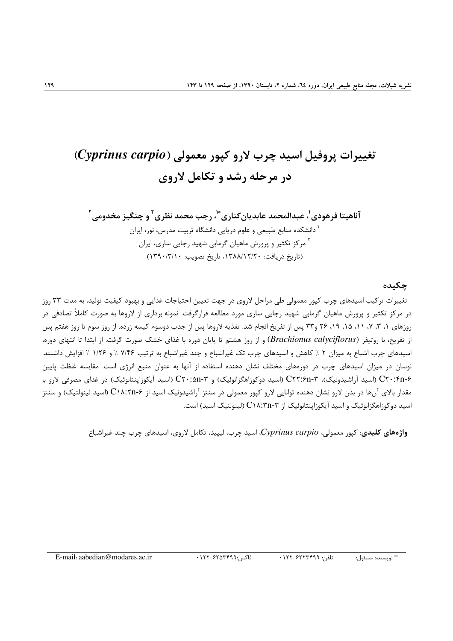# تغییرات پروفیل اسید چرب لارو کیور معمولی (Cyprinus carpio) در مرحله رشد و تکامل لاروی

آناهيتا فرهودي'، عبدالمحمد عابديان *ك*ناري ٌّ'، رجب محمد نظري<sup>۲</sup> و چنگيز مخدومي<sup>۲</sup> <sup>۱</sup> دانشکده منابع طبیعی و علوم دریایی دانشگاه تربیت مدرس، نور، ایران <sup>۲</sup> مرکز تکثیر و پرورش ماهیان گرمابی شهید رجایی ساری، ایران (تاریخ دریافت: ۱۳۸۸/۱۲/۲۰، تاریخ تصویب: ۱۳۹۰/۳/۱۰)

#### چکىدە

تغییرات ترکیب اسیدهای چرب کیور معمولی طی مراحل لاروی در جهت تعیین احتیاجات غذایی و بهبود کیفیت تولید، به مدت ۳۳ روز در مرکز تکثیر و پرورش ماهیان گرمایی شهید رجایی ساری مورد مطالعه قرارگرفت. نمونه برداری از لاروها به صورت کاملاً تصادفی در روزهای ۱، ۳، ۷، ۱۱، ۱۵، ۱۹، ۲۶ و۳۳ پس از تفریخ انجام شد. تغذیه لاروها پس از جدب دوسوم کیسه زرده، از روز سوم تا روز هفتم پس از تفريخ، با روتيفر (Brachionus calyciflorus) و از روز هشتم تا پايان دوره با غذاي خشک صورت گرفت. از ابتدا تا انتهاي دوره، اسیدهای چرب اشباع به میزان ۲ ٪ کاهش و اسیدهای چرب تک غیراشباع و چند غیراشباع به ترتیب ۷/۴۶ ٪ و ۱/۲۶ ٪ افزایش داشتند. نوسان در میزان اسیدهای چرب در دورههای مختلف نشان دهنده استفاده از آنها به عنوان منبع انرژی است. مقایسه غلظت پایین C۲۰:۴n-۶ (اسید آراشیدونیک)، ۳-C۲۲:۶n (اسید دوکوزاهگزانوئیک) و ۳-C۲۰:۵n (اسید آیکوزاپنتانوئیک) در غذای مصرفی لارو با مقدار بالای آنها در بدن لارو نشان دهنده توانایی لارو کپور معمولی در سنتز آراشیدونیک اسید از C۱۸:۲n-۶ (اسید لینولئیک) و سنتز اسید دوکوزاهگزانوئیک و اسید آیکوزاینتانوئیک از C۱۸:۳n-۳ (لینولنیک اسید) است.

واژەهای کلیدی: کیور معمولی، Cyprinus carpio، اسید چرب، لیپید، تکامل لاروی، اسیدهای چرب چند غیراشباع

تلفن: ۶۲۲۳۴۹۹-۱۲۲-فاكس:٢٢٩٩٩-١٢٢-١٢٢ \* نويسنده مسئول: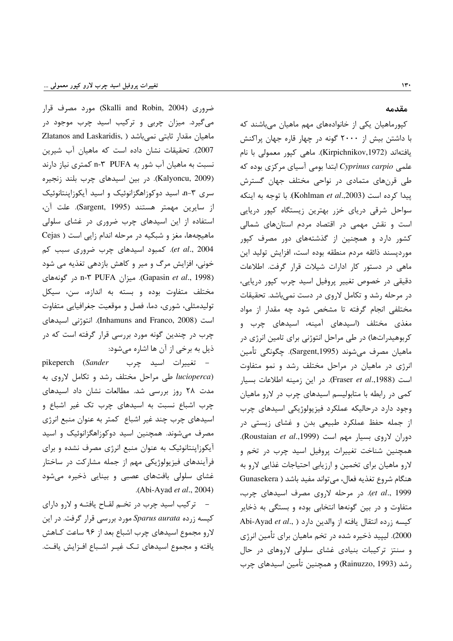ضروری (Skalli and Robin, 2004) مورد مصرف قرار می گیرد. میزان چربی و ترکیب اسید چرب موجود در Zlatanos and Laskaridis, ) ماهيان مقدار ثابتي نمي باشد 2007). تحقیقات نشان داده است که ماهیان آب شیرین نسبت به ماهیان آب شور به PUFA ۳-۳ کمتری نیاز دارند (Kalyoncu, 2009). در بين اسيدهاي چرب بلند زنجيره سری n-۳، اسید دوکوزاهگزانوئیک و اسید آیکوزاپنتانوئیک از سايرين مهمتر هستند (Sargent, 1995). علت آن، استفاده از این اسیدهای چرب ضروری در غشای سلولی ماهیچهها، مغز و شبکیه در مرحله اندام زایی است ( Cejas et al., 2004). كمبود اسيدهاى چرب ضرورى سبب كم خونی، افزایش مرگ و میر و کاهش بازدهی تغذیه می شود (Gapasin et al., 1998). میزان n-۳ PUFA در گونههای مختلف متفاوت بوده و بسته به اندازه، سن، سیکل تولیدمثلی، شوری، دما، فصل و موقعیت جغرافیایی متفاوت است (Inhamuns and Franco, 2008). انتوژنی اسپدهای چرب در چندین گونه مورد بررسی قرار گرفته است که در ذيل به برخي از آن ها اشاره مي شود:

pikeperch (Sander = تغييرات اسيد چرب lucioperca) طی مراحل مختلف رشد و تکامل لاروی به مدت ٢٨ روز بررسى شد. مطالعات نشان داد اسيدهاى چرب اشباع نسبت به اسیدهای چرب تک غیر اشباع و اسیدهای چرب چند غیر اشباع کمتر به عنوان منبع انرژی مصرف میشوند. همچنین اسید دوکوزاهگزانوئیک و اسید آیکوزاینتانوئیک به عنوان منبع انرژی مصرف نشده و برای فرآیندهای فیزیولوژیکی مهم از جمله مشارکت در ساختار غشای سلولی بافتهای عصبی و بینایی ذخیره میشود .(Abi-Ayad et al., 2004)

– ترکیب اسید چرب در تخم لقـاح یافتـه و لارو دارای کیسه زرده Sparus aurata مورد بررسی قرار گرفت. در این لارو مجموع اسیدهای چرب اشباع بعد از ۹۶ ساعت کـاهش یافته و مجموع اسیدهای تک غیـر اشـباع افـزایش یافـت.

#### مقدمه

کپورماهیان یکی از خانوادههای مهم ماهیان میباشند که با داشتن بیش از ۲۰۰۰ گونه در چهار قاره جهان پراکنش يافتەاند (Kirpichnikov,1972). ماھى كپور معمولى با نام علمی Cyprinus carpio ابتدا بومی آسیای مرکزی بوده که طی قرنهای متمادی در نواحی مختلف جهان گسترش ييدا كرده است (Kohlman et al.,2003). با توجه به اينكه سواحل شرقی دریای خزر بهترین زیستگاه کیور دریایی است و نقش مهمی در اقتصاد مردم استانهای شمالی کشور دارد و همچنین از گذشتههای دور مصرف کپور موردپسند ذائقه مردم منطقه بوده است، افزایش تولید این ماهی در دستور کار ادارات شیلات قرار گرفت. اطلاعات دقیقی در خصوص تغییر پروفیل اسید چرب کیور دریایی، در مرحله رشد و تکامل لاروی در دست نمیباشد. تحقیقات مختلفی انجام گرفته تا مشخص شود چه مقدار از مواد مغذی مختلف (اسیدهای آمینه، اسیدهای چرب و کربوهیدراتها) در طی مراحل انتوژنی برای تامین انرژی در ماهيان مصرف ميشوند (Sargent,1995). چگونگي تأمين انرژی در ماهیان در مراحل مختلف رشد و نمو متفاوت است (Fraser et al.,1988). در این زمینه اطلاعات بسیار کمی در رابطه با متابولیسم اسیدهای چرب در لارو ماهیان وجود دارد درحاليكه عملكرد فيزيولوژيكي اسيدهاى چرب از جمله حفظ عملکرد طبیعی بدن و غشای زیستی در دوران لاروی بسیار مهم است (Roustaian et al.,1999). همچنین شناخت تغییرات پروفیل اسید چرب در تخم و لارو ماهیان برای تخمین و ارزیابی احتیاجات غذایی لارو به هنگام شروع تغذيه فعال، مي تواند مفيد باشد ( Gunasekera et al., 1999). در مرحله لاروی مصرف اسیدهای چرب، متفاوت و در بین گونهها انتخابی بوده و بستگی به ذخایر Abi-Ayad et al., ) كيسه زرده انتقال يافته از والدين دارد 2000). لیپید ذخیره شده در تخم ماهیان برای تأمین انرژی و سنتز ترکیبات بنیادی غشای سلولی لاروهای در حال رشد (Rainuzzo, 1993) و همچنین تأمین اسیدهای چرب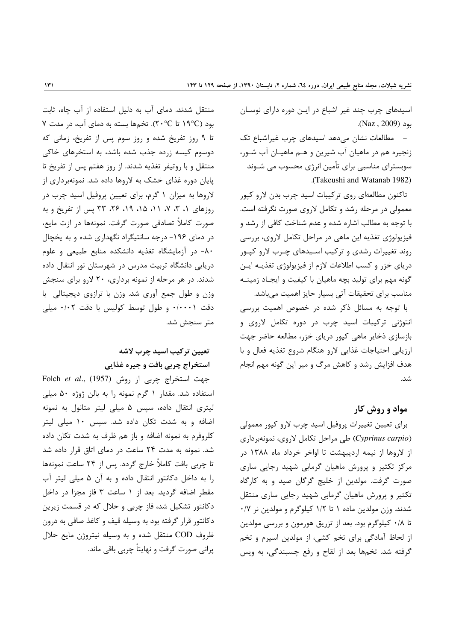اسیدهای چرب چند غیر اشباع در ایـن دوره دارای نوسـان بود (Naz , 2009).

- مطالعات نشان میدهد اسیدهای چرب غیراشباع تک زنجیره هم در ماهیان آب شیرین و هـم ماهیـان آب شـور، سوبسترای مناسبی برای تأمین انرژی محسوب می شـوند (Takeushi and Watanab 1982).

تاکنون مطالعهای روی ترکیبات اسید چرب بدن لارو کپور معمولی در مرحله رشد و تکامل لاروی صورت نگرفته است. با توجه به مطالب اشاره شده و عدم شناخت کافی از رشد و فيزيولوژي تغذيه اين ماهي در مراحل تكامل لاروي، بررسي روند تغییرات رشدی و ترکیب اسـیدهای چـرب لارو کیـور دریای خزر و کسب اطلاعات لازم از فیزیولوژی تغذیـه ایـن گونه مهم برای تولید بچه ماهیان با کیفیت و ایجـاد زمینـه مناسب برای تحقیقات آتی بسیار حایز اهمیت میباشد.

با توجه به مسائل ذکر شده در خصوص اهمیت بررسی انتوژنی ترکیبات اسید چرب در دوره تکامل لاروی و بازسازی ذخایر ماهی کپور دریای خزر، مطالعه حاضر جهت ارزیابی احتیاجات غذایی لارو هنگام شروع تغذیه فعال و با هدف افزایش رشد و کاهش مرگ و میر این گونه مهم انجام شد.

# مواد و روش کار

برای تعیین تغییرات پروفیل اسید چرب لارو کپور معمولی (Cyprinus carpio) طی مراحل تکامل لاروی، نمونهبرداری از لاروها از نیمه اردیبهشت تا اواخر خرداد ماه ۱۳۸۸ در مرکز تکثیر و پرورش ماهیان گرمابی شهید رجایی ساری صورت گرفت. مولدین از خلیج گرگان صید و به کارگاه ۔<br>تکثیر و یرورش ماهیان گرمابی شهید رجایی ساری منتقل شدند. وزن مولدین ماده ۱ تا ۱/۲ کیلوگرم و مولدین نر ۰/۷ تا ۰/۸ کیلوگرم بود. بعد از تزریق هورمون و بررسی مولدین از لحاظ آمادگی برای تخم کشی، از مولدین اسپرم و تخم گرفته شد. تخمها بعد از لقاح و رفع چسبندگی، به ویس

منتقل شدند. دمای آب به دلیل استفاده از آب چاه، ثابت بود (١٩°C تا ٢٠°C). تخمها بسته به دمای آب، در مدت ٧ تا ۹ روز تفریخ شده و روز سوم پس از تفریخ، زمانی که دوسوم کیسه زرده جذب شده باشد، به استخرهای خاکی منتقل و با روتيفر تغذيه شدند. از روز هفتم پس از تفريخ تا پایان دوره غذای خشک به لاروها داده شد. نمونهبرداری از لاروها به میزان ۱ گرم، برای تعیین پروفیل اسید چرب در روزهای ۱، ۳، ۷، ۱۱، ۱۵، ۱۹، ۲۶، ۳۳ پس از تفریخ و به صورت كاملاً تصادفي صورت گرفت. نمونهها در ازت مايع، در دمای ۱۹۶- درجه سانتیگراد نگهداری شده و به یخچال ٨٠- در آزمايشگاه تغذيه دانشكده منابع طبيعي و علوم دریایی دانشگاه تربیت مدرس در شهرستان نور انتقال داده شدند. در هر مرحله از نمونه برداری، ۲۰ لارو برای سنجش وزن و طول جمع آوري شد. وزن با ترازوي ديجيتالي با دقت ۰/۰۰۰۱ و طول توسط کولیس با دقت ۰/۰۲ میلی متر سنجش شد.

# تعيين تركيب اسيد چرب لاشه استخراج چربی بافت و جیره غذایی

Folch et al., (1957) جهت استخراج چربی از روش (1957) استفاده شد. مقدار ۱ گرم نمونه را به بالن ژوژه ۵۰ میلی لیتری انتقال داده، سپس ۵ میلی لیتر متانول به نمونه اضافه و به شدت تکان داده شد. سپس ۱۰ میلی لیتر كلروفرم به نمونه اضافه و باز هم ظرف به شدت تكان داده شد. نمونه به مدت ٢۴ ساعت در دمای اتاق قرار داده شد تا چربی بافت کاملاً خارج گردد. پس از ۲۴ ساعت نمونهها را به داخل دکانتور انتقال داده و به آن ۵ میلی لیتر آب مقطر اضافه گردید. بعد از ١ ساعت ٣ فاز مجزا در داخل دکانتور تشکیل شد، فاز چربی و حلال که در قسمت زیرین دکانتور قرار گرفته بود به وسیله قیف و کاغذ صافی به درون ظروف COD منتقل شده و به وسیله نیتروژن مایع حلال پرانی صورت گرفت و نهایتاً چربی باقی ماند.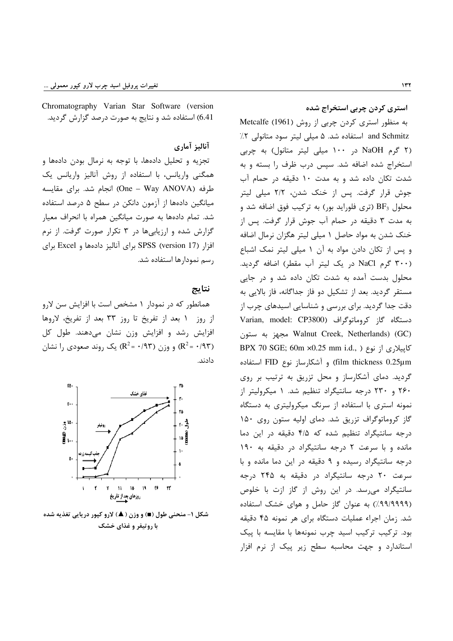Chromatography Varian Star Software (version 6.41) استفاده شد و نتایج به صورت درصد گزارش گردید.

# آناليز آماري

تجزیه و تحلیل دادهها، با توجه به نرمال بودن دادهها و همگنی واریانس، با استفاده از روش آنالیز واریانس یک طرفه (One – Way ANOVA) انجام شد. برای مقایسه میانگین دادهها از آزمون دانکن در سطح ۵ درصد استفاده شد. تمام دادهها به صورت میانگین همراه با انحراف معیار گزارش شده و ارزیابیها در ۳ تکرار صورت گرفت. از نرم افزار (SPSS (version 17 برای آنالیز دادهها و Excel برای رسم نمودارها استفاده شد.

#### نتايج

همانطور که در نمودار ۱ مشخص است با افزایش سن لارو از روز ۱ بعد از تفریخ تا روز ۳۳ بعد از تفریخ، لاروها افزایش رشد و افزایش وزن نشان میدهند. طول کل و وزن (۱۹۳ =  $R^2$ ) و وزن (۱۹۳ =  $R^2$ ) یک روند صعودی را نشان ( $R^2 = f(1)$ دادند.



شکل ۱- منحنی طول (■) و وزن ( ▲) لارو کپور دریایی تغذیه شده با روتیفر و غذای خشک

استری کردن چربی استخراج شده

به منظور استری کردن چربی از روش (Metcalfe (1961 and Schmitz استفاده شد. ۵ میلی لیتر سود متانولی ۲٪ (۲ گرم NaOH در ۱۰۰ میلی لیتر متانول) به چربی استخراج شده اضافه شد. سیس درب ظرف را بسته و به شدت تکان داده شد و به مدت ۱۰ دقیقه در حمام آب جوش قرار گرفت. پس از خنک شدن، ۲/۲ میلی لیتر محلول  $\rm{BF_{3}}$  (تری فلوراید بور) به ترکیب فوق اضافه شد و به مدت ۳ دقیقه در حمام آب جوش قرار گرفت. پس از خنک شدن به مواد حاصل ۱ میلی لیتر هگزان نرمال اضافه و پس از تکان دادن مواد به آن ١ میلی لیتر نمک اشباع (۳۰۰ گرم NaCl در یک لیتر آب مقطر) اضافه گردید. محلول بدست آمده به شدت تکان داده شد و در جایی مستقر گردید. بعد از تشکیل دو فاز جداگانه، فاز بالایی به دقت جدا گردید. برای بررسی و شناسایی اسیدهای چرب از Varian, model: CP3800) دستگاه گاز کروماتوگراف مجهز به ستون Walnut Creek, Netherlands) (GC) كاپيلارى از نوع ( ,BPX 70 SGE; 60m ×0.25 mm i.d film thickness 0.25µm) و آشكارساز نوع FID استفاده گردید. دمای آشکارساز و محل تزریق به ترتیب بر روی ۲۶۰ و ۲۳۰ درجه سانتیگراد تنظیم شد. ۱ میکرولیتر از نمونه استری با استفاده از سرنگ میکرولیتری به دستگاه گاز کروماتوگراف تزریق شد. دمای اولیه ستون روی ۱۵۰ درجه سانتیگراد تنظیم شده که ۴/۵ دقیقه در این دما مانده و با سرعت ٢ درجه سانتيگراد در دقيقه به ١٩٠ درجه سانتیگراد رسیده و ۹ دقیقه در این دما مانده و با سرعت ۲۰ درجه سانتیگراد در دقیقه به ۲۴۵ درجه سانتیگراد میرسد. در این روش از گاز ازت با خلوص (۹۹/۹۹۹۹٪) به عنوان گاز حامل و هوای خشک استفاده شد. زمان اجراء عملیات دستگاه برای هر نمونه ۴۵ دقیقه بود. ترکیب ترکیب اسید چرب نمونهها با مقایسه با پیک استاندارد و جهت محاسبه سطح زیر پیک از نرم افزار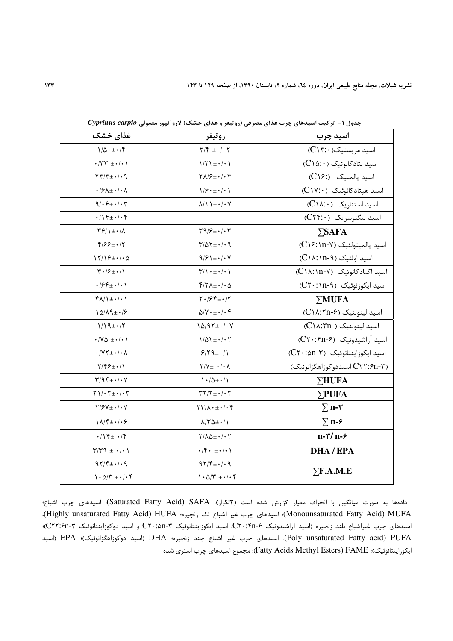| غذای خشک                                                            | روتيفر                                                                     | اسيد چرب                              |  |  |
|---------------------------------------------------------------------|----------------------------------------------------------------------------|---------------------------------------|--|--|
| $1/\Delta \cdot \pm \cdot$ /۴                                       | $\label{eq:10} \mathbf{Y}/\mathbf{Y} \pm \cdot / \cdot \mathbf{Y}$         | $(C \setminus f: \cdot)$ اسید مریستیک |  |  |
| $\cdot$ /٣٣ $\pm$ $\cdot$ / $\cdot$ )                               | $1/77 \pm 1/1$                                                             | اسید نتادکانوئیک (C١۵:٠)              |  |  |
| $\gamma$                                                            | $\Upsilon \Lambda / 5 + \cdot / \cdot 5$                                   | اسيد پالمتيک (:C١۶)                   |  |  |
| $\cdot$ / $\mathcal{F}$ $\Lambda$ $\pm$ $\cdot$ / $\cdot$ $\Lambda$ | $1/f \cdot \pm \cdot / \cdot 1$                                            | اسید هیتادکانوئیک (C١٧:٠)             |  |  |
| $9/65 + 16$                                                         | $\lambda/\lambda + \cdot/\cdot V$                                          | $(C\Lambda:\cdot)$ اسید استئاریک      |  |  |
| $\cdot/\sqrt{f} \pm \cdot/\cdot f$                                  |                                                                            | اسید لیگنوسریک (C۲۴:۰)                |  |  |
| $\frac{1}{2}$                                                       | $\Upsilon \mathfrak{q}/\mathfrak{S}_{\pm} \cdot / \cdot \Upsilon$          | $\Sigma$ SAFA                         |  |  |
| $8/66 + 17$                                                         | $T/\Delta T \pm 1.4$                                                       | اسيد يالميتولئيک (C١۶:١n-٧)           |  |  |
| $17/19 \pm 1/20$                                                    | $9/91 \pm 1.1$                                                             |                                       |  |  |
| $\mathbf{Y} \cdot \mathbf{X} + \mathbf{Y}$                          | $\Upsilon/\Upsilon$ + $\pm$ $\cdot$ / $\cdot$ $\Upsilon$                   | اسید اکتادکانوئیک (C۱۸:۱n-Y)          |  |  |
| $\cdot$ / $55 + \cdot$ / $\cdot$ )                                  | $f/\gamma\Lambda_{\pm}\cdot/\cdot \Delta$                                  | اسید ایکوزنوئیک (C۲۰:۱n-۹)            |  |  |
| $f \wedge / \psi + \cdots$                                          | $Y \cdot 194 + 17$                                                         | $\Sigma MUFA$                         |  |  |
| $\lambda \Delta / \lambda \lambda \pm \cdot / 5$                    | $\Delta$ / $V \cdot \pm \cdot$ / $\cdot$ $f$                               | اسید لینولئیک (C۱۸:۲n-۶)              |  |  |
| $1/19 \pm 1/7$                                                      | $10/97 \pm 1.7$                                                            | اسید لینولنیک (-C١٨:٣n)               |  |  |
| $\cdot$ / Y $\Delta$ $\pm$ $\cdot$ / $\cdot$ )                      | $1/\Delta Y \pm \cdot / \cdot Y$                                           | اسید آراشیدونیک (C۲۰:۴n-۶)            |  |  |
| $\cdot$ / Y $\uparrow \pm \cdot$ / $\cdot \wedge$                   | $9/79 \pm 1/1$                                                             | اسید ایکوزاینتانوئیک (C۲۰:۵n-۳)       |  |  |
| $Y/\mathfrak{F} \mathfrak{F}_\pm \cdot / \mathfrak{h}$              | $\mathbf{Y}/\mathbf{Y} \pm \mathbf{I} \cdot / \mathbf{I} \cdot \mathbf{A}$ | (۲۲:۶n-۳ اسیددو کوزاهگزانوئیک)        |  |  |
| $\Upsilon/9 \Upsilon \pm \cdot / \cdot V$                           | $\backslash \cdot/\bigtriangleup \pm \cdot/\bigtriangleup$                 | $\Sigma$ HUFA                         |  |  |
| $\gamma$ / $\gamma$ + $\gamma$ + $\gamma$ + $\gamma$                | $\Upsilon \Upsilon / \Upsilon \pm \cdot / \cdot \Upsilon$                  | $\Sigma$ PUFA                         |  |  |
| $Y/Y + \cdot$ / $\cdot$                                             | $\Upsilon \Upsilon / \Lambda \cdot \pm \cdot / \cdot \Upsilon$             | $\Sigma$ n-۳                          |  |  |
| $1\lambda/\mathfrak{f}_{\pm}\cdot/\cdot\mathfrak{S}$                | $\lambda$ /۳۵ $\pm$ $\cdot$ /1                                             | $\Sigma$ n- $\epsilon$                |  |  |
| $\cdot/\sqrt{2} \pm \cdot/\sqrt{2}$                                 | $Y/\lambda\Delta\pm\cdot$ / $\cdot$ $Y$                                    | $n-\gamma/n-\epsilon$                 |  |  |
| $\Upsilon/\Upsilon$ 9 ± $\cdot$ / $\cdot$ \                         | $\cdot$ /۴ $\cdot$ + $\cdot$ / $\cdot$ /                                   | <b>DHA/EPA</b>                        |  |  |
| $97/F+1.9$                                                          | $97/F+1.9$                                                                 |                                       |  |  |
| $1.27 + 1.6$                                                        | $1.07 + 1.6$                                                               | $\Sigma$ F.A.M.E                      |  |  |

جدول ۱- ترکیب اسیدهای چرب غذای مصرفی (روتیفر و غذای خشک) لارو کپور معمولی Cyprinus carpio

دادهها به صورت میانگین با انحراف معیار گزارش شده است (۳تکرار). Saturated Fatty Acid) SAFA)؛ اسیدهای چرب اشباع؛ (Monounsaturated Fatty Acid) MUFA): اسيدهاى چرب غير اشباع تك زنجيره؛ Highly unsaturated Fatty Acid) HUFA)، اسیدهای چرب غیراشباع بلند زنجیره (اسید آراشیدونیک C۲۰:۴n-۶، اسید ایکوزاپنتانوئیک C۲۰:۵n-۳ و اسید دوکوزاپنتانوئیک ۳-C۲۲:۶n)؛ Poly unsaturated Fatty acid) PUFA): اسيدهاى چرب غير اشباع چند زنجيره؛ DHA (اسيد دوكوزاهگزانوئيک)؛ EPA (اسيد ايكوزاپنتانوئيک)؛ Fatty Acids Methyl Esters) FAME): مجموع اسيدهاي چرب استرى شده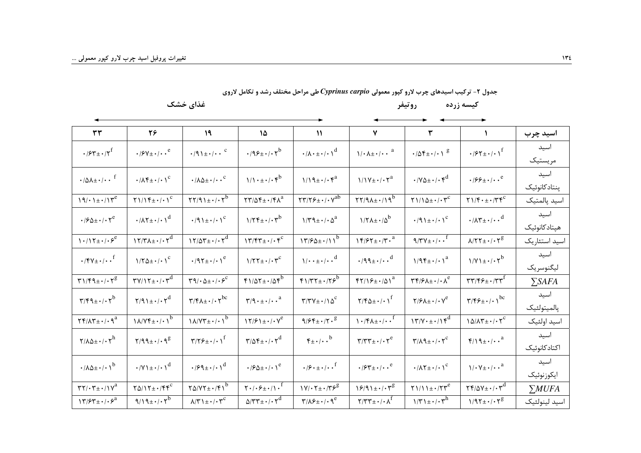| ٣٣                                                                                                                                                                                                                                                                                                                                                                                                                          | ۲۶                                                                  | 19                                                                    | $\lambda$                                                                    | $\mathcal{U}$                                                         | $\mathsf{v}$                                                                        | $\pmb{\mathtt{v}}$                                                                                |                                                                                         | اسيد چرب      |
|-----------------------------------------------------------------------------------------------------------------------------------------------------------------------------------------------------------------------------------------------------------------------------------------------------------------------------------------------------------------------------------------------------------------------------|---------------------------------------------------------------------|-----------------------------------------------------------------------|------------------------------------------------------------------------------|-----------------------------------------------------------------------|-------------------------------------------------------------------------------------|---------------------------------------------------------------------------------------------------|-----------------------------------------------------------------------------------------|---------------|
| $\cdot$ / $54 + \cdot 17$ <sup>f</sup>                                                                                                                                                                                                                                                                                                                                                                                      | $\cdot$ / $\mathcal{S}V_{\pm}\cdot$ / $\cdot$ $\cdot$ $^\mathrm{e}$ | $\cdot$ /9 \ $\pm$ $\cdot$ / $\cdot$ $\cdot$ $\cdot$ $\cdot$          | $\cdot$ /98 + $\cdot$ / $\cdot$ r <sup>b</sup>                               | $\cdot/\lambda \cdot \pm \cdot/\cdot \left. \right)^d$                | $\lambda/\cdot \lambda \pm \cdot / \cdot \cdot$ <sup>a</sup>                        | $\cdot/\Delta f \pm \cdot/\cdot \left. \right. \right ^{g}$                                       | $\cdot$ / $55 + \cdot$ / $\cdot$ / $^f$                                                 | اسيد          |
|                                                                                                                                                                                                                                                                                                                                                                                                                             |                                                                     |                                                                       |                                                                              |                                                                       |                                                                                     |                                                                                                   |                                                                                         | مريستيك       |
| $\cdot/\Delta\lambda \pm \cdot/\cdot \cdot$ <sup>f</sup>                                                                                                                                                                                                                                                                                                                                                                    | $\cdot$ / $\Lambda$ ۴ $\pm$ $\cdot$ / $\cdot$ / $\circ$             | $\cdot/\lambda\Delta\pm\cdot/\cdot\cdot^c$                            | $1/1 \cdot \pm \cdot / \cdot \mathfrak{r}^b$                                 | $1/19 \pm 1.6$                                                        | $1/\sqrt{1 + \cdot / \cdot \gamma^a}$                                               | $\cdot$ /Y $\Delta$ + $\cdot$ / $\cdot$ $\tau$ <sup>d</sup>                                       | $\cdot$ / $55 + \cdot$ / $\cdot$ $\cdot$ $^\circ$                                       | اسيد          |
|                                                                                                                                                                                                                                                                                                                                                                                                                             |                                                                     |                                                                       |                                                                              |                                                                       |                                                                                     |                                                                                                   |                                                                                         | پنتادكانوئيك  |
| $19/11+117$ <sup>e</sup>                                                                                                                                                                                                                                                                                                                                                                                                    |                                                                     | $\Upsilon \Upsilon / 9 \Upsilon \pm \cdot / \cdot \Upsilon^b$         | $\mathbf{Y} \mathbf{Y} / \Delta \mathbf{F} \pm \cdot / \mathbf{F} \Lambda^a$ | $\Upsilon \Upsilon / \Upsilon \epsilon_{\pm} \cdot / \cdot \sqrt{ab}$ | $\Upsilon \Upsilon / 9 \lambda \pm \cdot / 19^b$                                    | $\gamma$ \/\ $\Delta \pm \cdot$ / $\cdot \gamma$ <sup>c</sup>                                     | $\gamma$ )/ $\gamma$ + $\pm$ +/ $\gamma$ $\gamma$ <sup>c</sup>                          | اسيد پالمتيک  |
| $\cdot$ / $\mathcal{S}$ $\Delta$ $\pm$ $\cdot$ / $\cdot$ $\mathcal{V}$ <sup>e</sup>                                                                                                                                                                                                                                                                                                                                         | $\cdot/\lambda \Upsilon \pm \cdot/\cdot \Upsilon^d$                 | $\cdot$ /9 \ $\pm$ $\cdot$ / $\cdot$ \ $\circ$                        | $1/\tau f_{\pm}$ ./ $\tau^{b}$                                               | $1/\tau^q \pm \cdot / \cdot \Delta^a$                                 | $1/\Upsilon \lambda \pm \cdot / \Delta^b$                                           | $\cdot$ /9 \ $\pm$ $\cdot$ / $\cdot$ \ $\circ$                                                    | $\cdot/\lambda \Upsilon_{\pm} \cdot / \cdot \cdot^{d}$                                  | اسيد          |
|                                                                                                                                                                                                                                                                                                                                                                                                                             |                                                                     |                                                                       |                                                                              |                                                                       |                                                                                     |                                                                                                   |                                                                                         | هيتادكانوئيك  |
| $\left.\sum_{k=1}^{n} \frac{1}{k} \right  \left.\sum_{k=1}^{n} \frac{1}{k} \right  \left.\sum_{k=1}^{n} \frac{1}{k} \right  \left.\sum_{k=1}^{n} \frac{1}{k} \right  \left.\sum_{k=1}^{n} \frac{1}{k} \right  \left.\sum_{k=1}^{n} \frac{1}{k} \right  \left.\sum_{k=1}^{n} \frac{1}{k} \right  \left.\sum_{k=1}^{n} \frac{1}{k} \right  \left.\sum_{k=1}^{n} \frac{1}{k} \right  \left.\sum_{k=1}^{n} \frac{1}{k} \right $ | $\gamma \gamma / \gamma \lambda \pm \cdot / \cdot \gamma^{d}$       | $\gamma \gamma / \Delta \tau_{\pm}$ ./. $\gamma^d$                    | $\gamma \gamma / \xi + \cdots + \xi^c$                                       | $17/64 \pm 11^{b}$                                                    | $\gamma$ $\gamma$ / $\gamma$ $\pm$ $\cdot$ / $\gamma$ $\cdot$ $\alpha$              | $9/\gamma \gamma_{\pm}$                                                                           | $\lambda/\Upsilon\Upsilon \pm \cdot/\cdot \Upsilon^g$                                   | اسيد استئاريک |
| $\cdot$ /۴۷ $\pm$ $\cdot$ / $\cdot$ $\cdot$ <sup>f</sup>                                                                                                                                                                                                                                                                                                                                                                    | $1/\Upsilon \Delta \pm \cdot / \cdot 1^c$                           | $\cdot$ /97 $\pm$ $\cdot$ / $\cdot$ <sup>e</sup>                      | $1/\Upsilon \Upsilon \pm \cdot / \cdot \Upsilon^c$                           | $1/\cdot \cdot \pm \cdot/\cdot \cdot^d$                               | $\cdot$ /99 $\pm$ $\cdot$ / $\cdot$ $\cdot$ <sup>d</sup>                            | $1/9$ f $\pm$ ·/· $1^a$                                                                           | $1/Y$ $1 \pm \cdot$ / $\cdot Y$ <sup>b</sup>                                            | اسيد          |
|                                                                                                                                                                                                                                                                                                                                                                                                                             |                                                                     |                                                                       |                                                                              |                                                                       |                                                                                     |                                                                                                   |                                                                                         | ليگنوسريک     |
| $\Upsilon$ $\Upsilon$ $\Upsilon$ $\Upsilon$ $\Upsilon$ $\Upsilon$ $\Upsilon$                                                                                                                                                                                                                                                                                                                                                | $\Upsilon V/\Upsilon \pm \cdot / \cdot \overline{\Upsilon^d}$       | $\Upsilon \mathfrak{q}/\cdot \Delta \pm \cdot / \cdot \mathfrak{S}^c$ | $f1/\Delta T \pm 1/\Delta F^b$                                               | $f1/\tau\tau_{\pm}$ . $75^{\overline{b}}$                             | $f\gamma/\sqrt{2}+10^{a}$                                                           | $\label{eq:GPE} \Upsilon \Upsilon / \mathcal{F} / \mathcal{F} \Lambda \pm \cdot /\cdot \Lambda^e$ | $\mathbf{r}\mathbf{r}/\mathbf{r}\mathbf{s}_{\pm}\cdot\mathbf{r}\mathbf{r}^{\mathrm{f}}$ | $\Sigma$ SAFA |
| $\Upsilon/\Upsilon q_{\pm}$ ./. $\Upsilon^b$                                                                                                                                                                                                                                                                                                                                                                                | $\gamma/q \rightarrow \pm \cdot / \cdot \gamma^d$                   | $\Upsilon/\Upsilon\Lambda_{\pm} \cdot / \cdot \Upsilon^{bc}$          | $\Upsilon/\mathfrak{q}\cdot\pm\cdot/\cdot\cdot^{a}$                          | $\Upsilon/\Upsilon V \pm \cdot / \lambda^c$                           | $\Upsilon/\Upsilon\Delta\pm\cdot/\cdot\Upsilon$                                     | $Y/\mathcal{F}\Lambda \pm \cdot / \cdot V^e$                                                      | $\Upsilon/\Upsilon \xi_{\pm} \cdot / \cdot \Upsilon^{bc}$                               | اسيد          |
|                                                                                                                                                                                                                                                                                                                                                                                                                             |                                                                     |                                                                       |                                                                              |                                                                       |                                                                                     |                                                                                                   |                                                                                         | پالميتولئيک   |
| $\Upsilon \Upsilon / \Lambda \Upsilon \pm \cdot / \cdot \mathcal{A}^a$                                                                                                                                                                                                                                                                                                                                                      | $1\lambda/Vf_{\pm}$ . $\sqrt{b}$                                    | $1\lambda/VT \pm \cdot / \cdot \sqrt{b}$                              | $\gamma \gamma / 2 + \cdot / \cdot \gamma^e$                                 | $9/95 + \cdot 7.8$                                                    | $\left. \mathbf{1} \cdot \mathbf{1} \mathbf{0} \mathbf{0} \cdot \mathbf{1} \right $ | $1 \gamma / V \cdot \pm \cdot / I \cdot \sqrt{d}$                                                 | $\lambda \Delta / \lambda \Upsilon \pm \cdot / \cdot \Upsilon^c$                        | اسيد اولئيك   |
| $\gamma/\lambda\Delta\pm\cdot/\cdot\gamma^h$                                                                                                                                                                                                                                                                                                                                                                                | $Y/99 \pm 1.48$                                                     | $\Upsilon/\Upsilon \xi_{\pm} \cdot / \cdot \Upsilon$                  | $\Upsilon/\Delta \Upsilon \pm \cdot / \cdot \Upsilon^d$                      | $\mathfrak{r}_{\pm}$ <sup>b</sup>                                     | $\Upsilon/\Upsilon\Upsilon^{\pm}$ + / $\Upsilon^{\text{e}}$                         | $\Upsilon/\Lambda$ 9 $\pm$ $\cdot$ / $\cdot$ $\Upsilon^c$                                         | $f/\sqrt{4\pm\cdot/4}$ .                                                                | اسيد          |
|                                                                                                                                                                                                                                                                                                                                                                                                                             |                                                                     |                                                                       |                                                                              |                                                                       |                                                                                     |                                                                                                   |                                                                                         | اكتادكانوئيك  |
| $\cdot/\lambda\Delta\pm\cdot/\cdot\left.\right)^b$                                                                                                                                                                                                                                                                                                                                                                          | $\cdot$ /Y \ $\pm$ $\cdot$ / $\cdot$ \ $^d$                         | $\cdot$ /99 + $\cdot$ / $\cdot$ / $^d$                                | $\cdot$ / $\times$ / $\cdot$ / $\cdot$ / $\cdot$                             | $\cdot$ / $\cdot$ + $\cdot$ / $\cdot$ $\cdot$ $\frac{f}{f}$           | $\cdot$ / $\epsilon$ $\uparrow$ $\pm$ $\cdot$ / $\cdot$ $\cdot$ $\cdot$ $\cdot$     | $\cdot/\lambda \Upsilon \pm \cdot/\cdot \left. \right)^{c}$                                       | $\sqrt{\cdot \gamma_{\pm} \cdot / \cdot \cdot^a}$                                       | اسيد          |
|                                                                                                                                                                                                                                                                                                                                                                                                                             |                                                                     |                                                                       |                                                                              |                                                                       |                                                                                     |                                                                                                   |                                                                                         | ايكوزنوئيك    |
| $\Upsilon \Upsilon / \cdot \Upsilon \pm \cdot / \Upsilon^a$                                                                                                                                                                                                                                                                                                                                                                 | $Y \Delta / Y \pm \cdot / \xi \xi^c$                                | $YQ/YY_{\pm} \cdot / \sqrt{b}$                                        | $\mathbf{Y} \cdot (\cdot \mathbf{S} \pm \cdot / \sqrt{\cdot \cdot \cdot})$   | $\gamma \gamma \cdot \gamma_{\pm} \cdot \gamma \gamma \gamma$         | $\frac{18}{4}$                                                                      | $\gamma$ $\gamma$ $\lambda$ $\pm$ $\cdot$ / $\gamma$ $\tau$ <sup>e</sup>                          | $\Upsilon f/\Delta V \pm \cdot / \cdot \Upsilon^{d}$                                    | $\sum M UFA$  |
| $\gamma \gamma / \gamma + \cdots$                                                                                                                                                                                                                                                                                                                                                                                           | $9/19 \pm 1.6$                                                      | $\lambda/\Upsilon$ \ $\pm$ $\cdot$ / $\cdot \Upsilon^C$               | $\Delta/\Upsilon\Upsilon \pm \cdot / \cdot \Upsilon^d$                       | $\Upsilon/\Lambda \mathcal{F}_{\pm} \cdot / \cdot \mathfrak{q}^e$     | $\gamma/\tau\tau_{\pm}$ ./. $\lambda^f$                                             | $1/\tau$ $1 \pm \cdot$ / $\cdot \tau$ <sup>h</sup>                                                | $1/97 \pm 1.7$                                                                          | اسيد لينولئيك |

جدول ۲- ترکیب اسیدهای چرب لارو کپور معمولی Cyprinus carpio طی مراحل مختلف رشد و تکامل لاروی

كيسه زرده روتيفر

غذای خشک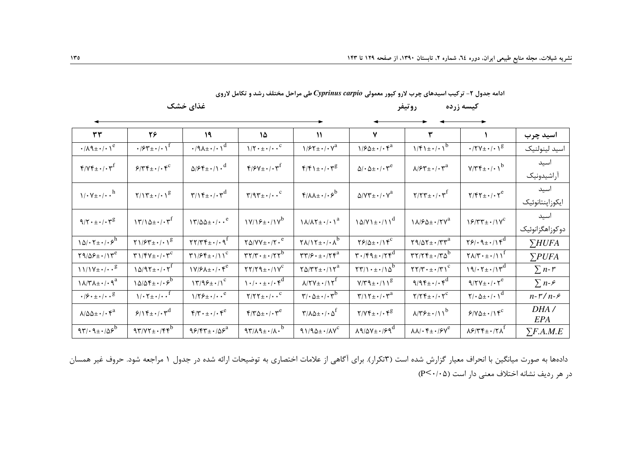كيسه زرده

روتيفر

|  |  |  | ادامه جدول ۲- ترکیب اسیدهای چرب لارو کپور معمولی Cyprinus carpio طی مراحل مختلف رشد و تکامل لاروی |
|--|--|--|---------------------------------------------------------------------------------------------------|
|--|--|--|---------------------------------------------------------------------------------------------------|

غذای خشک

| $\mathbf{r}\mathbf{r}$                                                   | ٢۶                                                                                      | 19                                                           | ١۵                                                                               | $\mathcal{N}$                                                                    | $\mathbf v$                                                            | ٣                                                                         |                                                                                            | اسيد چرب           |
|--------------------------------------------------------------------------|-----------------------------------------------------------------------------------------|--------------------------------------------------------------|----------------------------------------------------------------------------------|----------------------------------------------------------------------------------|------------------------------------------------------------------------|---------------------------------------------------------------------------|--------------------------------------------------------------------------------------------|--------------------|
| $\cdot/\lambda$ ٩ $\pm$ $\cdot$ / $\cdot$ \espectively                   | $\cdot$ / $54 + (-1)^f$                                                                 | $\cdot$ /9 $\lambda$ ± $\cdot$ / $\cdot$ \ <sup>d</sup>      | $1/\Upsilon \cdot \pm \cdot / \cdot \cdot$ <sup>C</sup>                          | $1/7 + \cdot / \cdot V^a$                                                        | $1/80 \pm 1.6$                                                         | $1/f1 \pm 1.1$                                                            | $\cdot$ /۲۷ $\pm$ $\cdot$ / $\cdot$ $\right)$ <sup>g</sup>                                 | اسيد لينولنيک      |
| $f/\gamma f_{\pm}$ ./. $\gamma^f$                                        | $8/\tau f_{\pm}$ ./. $f^{c}$                                                            | $\Delta$ / $\epsilon$ f $\pm$ ·/ $\Delta$ · $d$              | $\mathbf{f}/\mathbf{F}V_{\pm}\cdot/\cdot\mathbf{v}^{\mathrm{f}}$                 | $f/f \rightarrow + \cdot / \cdot r^{g}$                                          | $\Delta/\cdot \Delta \pm \cdot/\cdot \tau^e$                           | $\lambda$ / $\gamma^*$ $\pm$ $\cdot$ / $\cdot$ $\gamma^a$                 | $V/\Upsilon \Upsilon_{\pm} \cdot / \cdot V^b$                                              | اسيد               |
|                                                                          |                                                                                         |                                                              |                                                                                  |                                                                                  |                                                                        |                                                                           |                                                                                            | أراشيدونيك         |
| $\sqrt{\cdot \gamma_{\pm} \cdot / \cdot \cdot}^h$                        | $\gamma/\gamma_{\pm}$ ./. $\gamma_{\rm s}$                                              | $\gamma/\gamma f_{\pm}$ ./. $\gamma^{d}$                     | $\Upsilon/9 \Upsilon \pm \cdot / \cdot \cdot^c$                                  | $f/\lambda\lambda \pm \cdot$ / $\cdot$ $S^b$                                     | $\Delta$ /Y $\Upsilon$ $\pm$ $\cdot$ / $\cdot$ $\Upsilon$ <sup>a</sup> | $\gamma/\gamma\gamma_{\pm}$ ./ $\gamma^{\rm f}$                           | $Y/\mathfrak{F}\mathfrak{Y}_{\pm}\cdot/\cdot\mathfrak{Y}^{e}$                              | اسيد               |
|                                                                          |                                                                                         |                                                              |                                                                                  |                                                                                  |                                                                        |                                                                           |                                                                                            | ايكوزاپنتانوئيك    |
| $9/7 \cdot \pm \cdot / \cdot 7^g$                                        | $\gamma \gamma / \Delta \pm \cdot / \cdot \gamma^f$                                     | $17/\Delta\Delta \pm 1/\cdot \cdot$ <sup>e</sup>             | $\frac{1}{\sqrt{2}}$                                                             | $\lambda/\lambda \Upsilon \pm \cdot / \cdot \lambda^a$                           | $\lambda \Delta/V \lambda \pm \cdot / \lambda \lambda^{d}$             | $1\lambda$ / $5\Delta \pm \cdot$ / $7\gamma^a$                            | $18/TT \pm 11V^c$                                                                          | اسيد               |
|                                                                          |                                                                                         |                                                              |                                                                                  |                                                                                  |                                                                        |                                                                           |                                                                                            | دوكوزاهگزانوئيک    |
| $\lambda \Delta / \cdot \Upsilon \pm \cdot / \cdot 5^{\overline{h}}$     | $\gamma$ 1/۶۳ $\pm$ ./.1 <sup>8</sup>                                                   | $\Upsilon\Upsilon/\Upsilon\Upsilon_{\pm}$ ./.9 <sup>f</sup>  | $Y\Delta/YY_{\pm}$ ./ $Y \cdot$ <sup>e</sup>                                     | $\Upsilon \Lambda / \Upsilon \pm \cdot / \cdot \Lambda^b$                        | $Y9/\Delta \pm 11Y^c$                                                  | $\Upsilon$ 9/0 $\Upsilon$ + $\Upsilon$ $\Upsilon$ $\Upsilon$ <sup>a</sup> | $\gamma$ $\gamma$ $\cdot$ $\gamma$ $\pm$ $\cdot$ $\gamma$ $\overline{\gamma}$ <sup>d</sup> | $\Sigma HUFA$      |
| $Y9/89 \pm 11Y^e$                                                        | $\Upsilon$ $\Upsilon$ $\Upsilon$ $\Upsilon$ $\Upsilon$ $\Upsilon$ $\Upsilon$ $\Upsilon$ | $\Upsilon$ 1/۶۴ $\pm$ ·/11 <sup>c</sup>                      | $\mathbf{r}\mathbf{r}/\mathbf{r}\cdot\pm\cdot/\mathbf{r}\mathbf{r}^{\mathrm{b}}$ | $\mathbf{r}\mathbf{r}/\mathbf{s}\cdot\pm\cdot/\mathbf{r}\mathbf{r}^{\mathrm{a}}$ | $\mathbf{r} \cdot \mathbf{r} \cdot \mathbf{r}$                         | $\mathbf{r}\mathbf{r}/\mathbf{r}$ + $\mathbf{r}\mathbf{r}$                | $\Upsilon \Lambda / \Upsilon \cdot \pm \cdot / \Upsilon$                                   | $\sum$ <i>PUFA</i> |
|                                                                          | $10/97 \pm 1.7$                                                                         | $\frac{1}{\gamma}$                                           | $\gamma \gamma / \gamma q_{\pm}$ ./ $\gamma^c$                                   | $\Upsilon \Delta / \Upsilon \Upsilon \pm \cdot / \Upsilon^a$                     | $\Upsilon \Upsilon / \Upsilon + \pm \cdot / \Delta^b$                  | $\Upsilon \Upsilon / \Upsilon \cdot \pm \cdot / \Upsilon \Upsilon^c$      | $19/15 + 17$                                                                               | $\sum n-r$         |
| $\lambda/\mu\lambda_{\pm}$ ./.9 <sup>a</sup>                             | $10/8f \pm 1.6e^{b}$                                                                    | $\left(\frac{1}{\gamma}\right)^{c}$                          | $\cdots$                                                                         | $\lambda$ /۲۷ $\pm$ •/17 <sup>f</sup>                                            | $V/T9\pm$ $\cdot$ / 1 8                                                | $9/95 \pm 1.6$                                                            | $9/7V \pm 1.7e$                                                                            | $\sum n-\epsilon$  |
| $\cdot$ / $\mathfrak{S} \cdot \pm \cdot$ / $\cdot \cdot$ $\cdot$ $\cdot$ | $1/\cdot 7 \pm \cdot / \cdot \cdot$ <sup>f</sup>                                        | $1/75 \pm 1/10$ .                                            | $\gamma/\gamma\gamma_{\pm}$                                                      | $\mathbf{y}/\cdot \mathbf{v}$ + $\mathbf{v}$                                     | $\Upsilon/\Upsilon$ + $\cdot$ / $\Upsilon$ <sup>a</sup>                | $\gamma/\gamma f_{\pm}$ ./. $\gamma^c$                                    | $\gamma/\cdot \Delta \pm \cdot / \cdot \sqrt{d}$                                           | $n-r/n-s$          |
| $\lambda/\Delta\Delta\pm\cdot$ / $\cdot$ $\zeta^a$                       | $9/15 \pm 1.6$                                                                          | $\mathfrak{f}/\mathfrak{r}\cdot\pm\cdot/\cdot\mathfrak{r}^e$ | $\mathfrak{r}/\mathfrak{r}\Delta\pm\cdot/\cdot\mathfrak{r}^e$                    | $\Upsilon/\Lambda\Delta\pm\cdot/\cdot\Delta^f$                                   | $Y/Yf_{\pm} \cdot / \cdot f^{g}$                                       | $\lambda$ /۳۶ + $\cdot$ /11 <sup>b</sup>                                  | $Y/\gamma \Delta \pm 1/\gamma^c$                                                           | DHA/<br>EPA        |
| $97.9 \pm .705$                                                          | $97/77 \pm 1.75$                                                                        | $95/57 \pm 105^a$                                            | $97/\lambda$ 9± $\cdot/\lambda \cdot$ <sup>b</sup>                               | $91/90 \pm \cdot / \Lambda V^c$                                                  | $\lambda$ 9/ $\Delta V$ $\pm$ · / $\epsilon$ 9 <sup>d</sup>            | $\lambda\lambda/\cdot$ f $\pm$ $\cdot$ / $\gamma$ <sup>e</sup>            | $\lambda$ ۶/۳۴ $\pm$ •/۲ $\Lambda^{\text{f}}$                                              | $\sum F.A.M.E$     |

دادهها به صورت میانگین با انحراف معیار گزارش شده است (۳تکرار). برای آگاهی از علامات اختصاری به توضیحات ارائه شده در جدول ۱ مراجعه شود. حروف غیر همسان در هر رديف نشانه اختلاف معنى دار است (P<۰/۰۵)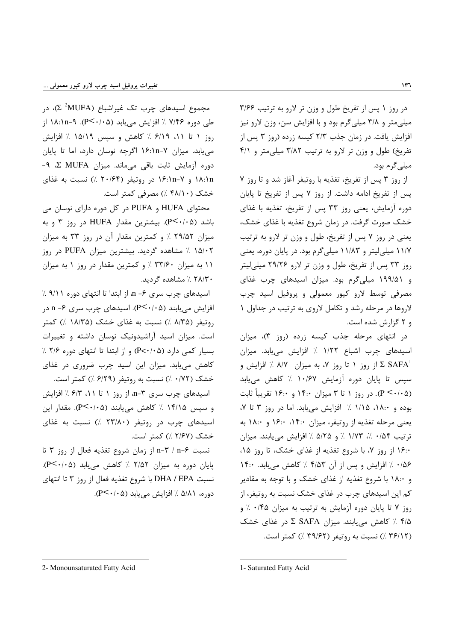در روز ١ پس از تفریخ طول و وزن تر لارو به ترتیب ٣/۶۶ میلی متر و ۳/۸ میلی گرم بود و با افزایش سن، وزن لارو نیز افزایش یافت. در زمان جذب ۲/۳ کیسه زرده (روز ۳ پس از تفریخ) طول و وزن تر لارو به ترتیب ۳/۸۲ میلی متر و ۴/۱ میلے گرم بود.

از روز ٣ پس از تفريخ، تغذيه با روتيفر آغاز شد و تا روز ٧ پس از تفریخ ادامه داشت. از روز ۷ پس از تفریخ تا پایان دوره آزمایش، یعنی روز ۳۳ پس از تفریخ، تغذیه با غذای خشک صورت گرفت. در زمان شروع تغذیه با غذای خشک، يعني در روز ٧ پس از تفريخ، طول و وزن تر لارو به ترتيب ۱۱/۷ میلی لیتر و ۱۱/۸۳ میلی گرم بود. در پایان دوره، یعنی روز ۳۳ پس از تفریخ، طول و وزن تر لارو ۲۹/۲۶ میلی لیتر و ۱۹۹/۵۱ میلیگرم بود. میزان اسیدهای چرب غذای مصرفی توسط لارو کپور معمولی و پروفیل اسید چرب لاروها در مرحله رشد و تکامل لاروی به ترتیب در جداول ۱ و ۲ گزارش شده است.

در انتهای مرحله جذب کیسه زرده (روز ٣)، میزان اسیدهای چرب اشباع ۱/۲۲ ٪ افزایش می یابد. میزان از روز ۱ تا روز ۷، به میزان ۸/۷ ٪ افزایش و  $\Sigma \, \, \text{SAFA}^1$ سپس تا پایان دوره آزمایش ۱۰/۶۷ ٪ کاهش مییابد (P < ·/·۵). در روز ۱ تا ۳ میزان ۱۴:۰ و ۱۶:۰ تقریباً ثابت بوده و ١٨:٠، ١/١٥ ٪ افزايش مى يابد. اما در روز ٣ تا ٧، یعنی مرحله تغذیه از روتیفر، میزان ۱۴:۰، ۱۶:۰ و ۱۸:۰ به ترتيب ١/٥۴ ٪، ١/٧٣ ٪ و ۵/٢۵ ٪ افزايش مي يابند. ميزان ۱۶:۰ از روز ۷، با شروع تغذیه از غذای خشک، تا روز ۱۵، ۰/۵۶ ٪ افزایش و پس از آن ۴/۵۳ ٪ کاهش می یابد. ۱۴:۰ و ۱۸:۰ با شروع تغذیه از غذای خشک و با توجه به مقادیر کم این اسیدهای چرب در غذای خشک نسبت به روتیفر، از روز ۷ تا پایان دوره آزمایش به ترتیب به میزان ۰/۴۵ ٪ و ۴/۵ ٪ کاهش می یابند. میزان SAFA در غذای خشک (٣۶/١٢ /) نسبت به روتيفر (٣٩/٤٢ /) كمتر است.

مجموع اسیدهای چرب تک غیراشباع (Σ <sup>2</sup>MUFA)، در طی دوره ۷/۴۶ ٪ افزایش می یابد (P<۰/۰۵). ۹-۱۸:۱n-۹ از روز ١ تا ١١، ۶/١٩ ٪ كاهش و سيس ١٥/١٩ ٪ افزايش می یابد. میزان ۱۶:۱n-۷ اگرچه نوسان دارد، اما تا پایان دوره آزمایش ثابت باقی میماند. میزان MUFA Σ ME ۱۸:۱n و ۱۶:۱n-۱۶ در روتیفر (۲۰/۶۴ ٪) نسبت به غذای خشک (۴۸/۱۰) مصرفی کمتر است.

محتوای HUFA و PUFA در کل دوره دارای نوسان می باشد (P<۰/۰۵). بیشترین مقدار HUFA در روز ۳ و به میزان ۲۹/۵۲ ٪ و کمترین مقدار آن در روز ۳۳ به میزان ۱۵/۰۲ / مشاهده گردید. بیشترین میزان PUFA در روز ۱۱ به میزان ۳۳/۶۰ / و کمترین مقدار در روز ۱ به میزان ۲۸/۳۰٪ مشاهده گردید.

اسیدهای چرب سری ۶− n، از ابتدا تا انتهای دوره ۹/۱۱ ٪ افزایش مییابند (P<۰/۰۵). اسیدهای چرب سری ۶- n در روتیفر (۸/۳۵ ٪) نسبت به غذای خشک (۱۸/۳۵ ٪) کمتر است. میزان اسید آراشیدونیک نوسان داشته و تغییرات بسیار کمی دارد (P<۰/۰۵) و از ابتدا تا انتهای دوره ۲/۶ ٪ کاهش می یابد. میزان این اسید چرب ضروری در غذای خشک (۰/۷۲ ٪) نسبت به روتیفر (۶/۲۹ ٪) کمتر است.

اسیدهای چرب سری ۳-n از روز ۱ تا ۱۱، ۶/۳ ٪ افزایش و سپس ۱۴/۱۵ ٪ کاهش مییابند (P<۰/۰۵). مقدار این اسیدهای چرب در روتیفر (۲۳/۸۰ /) نسبت به غذای خشک (۲/۶۷ ٪) کمتر است.

نسبت n−۶ / n−۴ از زمان شروع تغذیه فعال از روز ۳ تا پایان دوره به میزان ۲/۵۲ ٪ کاهش می یابد (P<۰/۰۵). نسبت DHA / EPA با شروع تغذیه فعال از روز ۳ تا انتهای دوره، ۵/۸۱ ٪ افزایش مییابد (P<۰/۰۵).

2- Monounsaturated Fatty Acid

<sup>1-</sup> Saturated Fatty Acid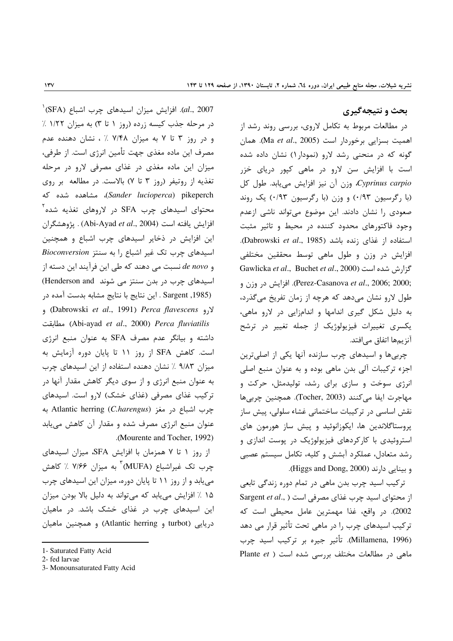# بحث و نتیجهگیری

در مطالعات مربوط به تکامل لاروی، بررسی روند رشد از اهميت بسزايي برخوردار است (Ma et al., 2005). همان گونه که در منحنی رشد لارو (نمودار ۱) نشان داده شده است با افزایش سن لارو در ماهی کیور دریای خزر Cyprinus carpio وزن آن نیز افزایش می یابد. طول کل (با رگرسیون ۰/۹۳) و وزن (با رگرسیون ۰/۹۳) یک روند صعودی را نشان دادند. این موضوع می تواند ناشی ازعدم وجود فاکتورهای محدود کننده در محیط و تاثیر مثبت استفاده از غذای زنده باشد (Dabrowski et al., 1985). افزایش در وزن و طول ماهی توسط محققین مختلفی Gawlicka et al., Buchet et al., 2000) گزارش شده است . Perez-Casanova et al., 2006; 2000). افزايش در وزن و طول لارو نشان میدهد که هرچه از زمان تفریخ میگذرد، به دلیل شکل گیری اندامها و اندامزایی در لارو ماهی، یکسری تغییرات فیزیولوژیک از جمله تغییر در ترشح آنزیمها اتفاق مے افتد.

چربی ها و اسیدهای چرب سازنده آنها یکی از اصلی ترین اجزء ترکیبات آلی بدن ماهی بوده و به عنوان منبع اصلی انرژی سوخت و سازی برای رشد، تولیدمثل، حرکت و مهاجرت ايفا مي كنند (Tocher, 2003). همچنين چربي ها نقش اساسی در ترکیبات ساختمانی غشاء سلولی، پیش ساز پروستاگلاندین ها، ایکوزانوئید و پیش ساز هورمون های استروئیدی با کارکردهای فیزیولوژیک در یوست اندازی و رشد متعادل، عملکرد آبشش و کلیه، تکامل سیستم عصبی و بينايي دارند (Higgs and Dong, 2000).

ترکیب اسید چرب بدن ماهی در تمام دوره زندگی تابعی از محتوای اسید چرب غذای مصرفی است ( ,.Sargent *et al* 2002). در واقع، غذا مهمترين عامل محيطى است كه ترکیب اسیدهای چرب را در ماهی تحت تأثیر قرار می دهد (Millamena, 1996). تأثير جيره بر تركيب اسيد جرب ماهی در مطالعات مختلف بورسی شده است ( Plante et

 $^{+}$ (SFA). افزایش میزان اسیدهای چرب اشباع (SFA) $^{'}$ در مرحله جذب کیسه زرده (روز ۱ تا ۳) به میزان ۱/۲۲ ٪ و در روز ۳ تا ۷ به میزان ۷/۴۸ ٪ ، نشان دهنده عدم مصرف این ماده مغذی جهت تأمین انرژی است. از طرفی، میزان این ماده مغذی در غذای مصرفی لارو در مرحله تغذیه از روتیفر (روز ۳ تا ۷) بالاست. در مطالعه بر روی (Sander lucioperca) pikeperch)، مشاهده شده که محتوای اسیدهای چرب SFA در لاروهای تغذیه شده<sup>۲</sup> افزايش يافته است (Abi-Ayad et al., 2004) . پژوهشگران این افزایش در ذخایر اسیدهای چرب اشباع و همچنین اسیدهای چرب تک غیر اشباع را به سنتز Bioconversion و de novo نسبت می دهند که طی این فرآیند این دسته از اسیدهای چرب در بدن سنتز می شوند Henderson and) Sargent ,1985) . این نتایج با نتایج مشابه بدست آمده در و Dabrowski et al., 1991) Perca flavescens) و Abi-ayad et al., 2000) Perca fluviatilis داشته و بیانگر عدم مصرف SFA به عنوان منبع انرژی است. كاهش SFA از روز ١١ تا پايان دوره آزمايش به میزان ۹/۸۳ ٪ نشان دهنده استفاده از این اسیدهای چرب به عنوان منبع انرژی و از سوی دیگر کاهش مقدار آنها در ترکیب غذای مصرفی (غذای خشک) لارو است. اسیدهای جرب اشباع در مغز (Atlantic herring (C.harengus عنوان منبع انرژی مصرف شده و مقدار آن کاهش مییابد .(Mourente and Tocher, 1992)

از روز ١ تا ٧ همزمان با افزايش SFA، ميزان اسيدهاى چرب تک غیراشباع (MUFA)<sup>٢</sup> به میزان ۷/۶۶ ٪ کاهش می یابد و از روز ١١ تا پایان دوره، میزان این اسیدهای چرب ۱۵ ٪ افزایش می یابد که میتواند به دلیل بالا بودن میزان این اسیدهای چرب در غذای خشک باشد. در ماهیان دریایی (turbot و Atlantic herring) و همچنین ماهیان

<sup>1-</sup> Saturated Fatty Acid

<sup>2-</sup> fed larvae

<sup>3-</sup> Monounsaturated Fatty Acid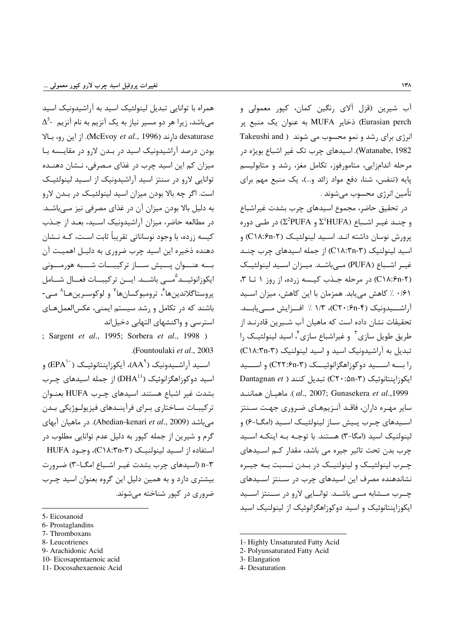آب شیرین (قزل آلای رنگین کمان، کپور معمولی و Eurasian perch) ذخایر MUFA به عنوان یک منبع پر انرژی برای رشد و نمو محسوب می شوند ( Takeushi and Watanabe, 1982). اسیدهای چرب تک غیر اشباع بویژه در مرحله اندامزایی، متامورفوز، تکامل مغز، رشد و متابولیسم یایه (تنفس، شنا، دفع مواد زائد و…)، یک منبع مهم برای تأمين انرژى محسوب مىشوند .

در تحقیق حاضر، مجموع اسیدهای چرب بشدت غیراشباع و چنــد غيــر اشــباع (Σ<sup>2</sup>PUFA و Σ<sup>1</sup>HUFA) در طــي دوره یرورش نوسان داشته انـد. اسـید لینولئیـک (C١٨:۶n-۲) و اسید لینولنیک (C١٨:٣n-۳) از جمله اسیدهای چرب چنـد غيـر اشـباع (PUFA) مــ إباشــد. ميــزان اســيد لينولئيـك (C \ A: ۶n-۲) در مرحله جـذب کیـسه زرده، از روز ۱ تـا ۳، ۰/۶۱ ٪ کاهش می یابد. همزمان با این کاهش، میزان اسـید آراشــيدونيک (C۲۰:۶n-۴)، ۱/۳ / افــزايش مـــىيابــد. تحقیقات نشان داده است که ماهیان آب شــیرین قادرنــد از طریق طویل سازی ٔ و غیراشباع سازی ٔ، اسید لینولئیـک را تبدیل به آراشیدونیک اسید و اسید لینولنیک (C١٨:٣n-٣) را بـــه اســـيد دوکوزاهگزانوئيـــک (C۲۲:۶n-۳) و اســـيد Dantagnan et ) تبدیل کنند ( C۲۰:۵n-۳) C۲۰: .cd., 2007; Gunasekera et al., 1999). ماهيـان هماننــد سایر مهـره داران، فاقـد آنـزیمهـای ضـروری جهـت سـنتز اسـيدهاي چـرب پـيش سـاز لينولئيـک اسـيد (امگــا-۶) و لینولنیک اسید (امگا–۳) هستند. با توجـه بـه اینکـه اسـید چرب بدن تحت تاثیر جیره می باشد، مقدار کـم اسـیدهای چـرب لينولئيـك و لينولنيـك در بـدن نـسبت بـه جيـره نشاندهنده مصرف این اسیدهای چرب در سـنتز اسـیدهای چــرب مــشابه مــى باشــد. توانــايى لارو در ســنتز اســيد ایکوزاپنتانوئیک و اسید دوکوزاهگزانوئیک از لینولنیک اسید

- 1- Highly Unsaturated Fatty Acid
- 2- Polyunsaturated Fatty Acid
- 3- Elangation

همراه با توانایی تبدیل لینولئیک اسید به آراشیدونیک اسید  $\Delta^5$ - میباشد، زیرا هر دو مسیر نیاز به یک آنزیم به نام آنزیم desaturase دارند (McEvoy et al., 1996). از این رو، بالا بودن درصد آراشیدونیک اسید در بـدن لارو در مقایـسه بـا میزان کم این اسید چرب در غذای مـصرفی، نـشان دهنـده توانایی لارو در سنتز اسید آراشیدونیک از اسـید لینولئیـک است. اگر چه بالا بودن میزان اسید لینولئیـک در بـدن لارو به دلیل بالا بودن میزان آن در غذای مصرفی نیز مے باشـد. در مطالعه حاضر، میزان آراشیدونیک اسـید، بعـد از جـذب کیسه زرده، با وجود نوساناتی تقریباً ثابت اسـت، کـه نــشان دهنده ذخیره این اسید چرب ضروری به دلیـل اهمیـت آن بــه عنــوان يــيش ســاز تركيبــات شــبه هورمــونى ايكوزانوئيـــد<sup>ه</sup>مــــ<sub>ي</sub> باشـــد. ايـــن تركيبـــات فعـــال شـــامل پروستاگلاندينھا<sup>7</sup>، ترومبوكسانھا<sup>٧</sup> و لوكوسـرينھـا<sup>^</sup> مـي-باشند که در تکامل و رشد سیستم ایمنی، عکسالعملهـای استرسی و واکنشهای التهابی دخیلاند

; Sargent et al., 1995; Sorbera et al., 1998) .(Fountoulaki et al., 2003).

اســيد آ,اشــيدونيک ( $\mathsf{A}\mathsf{A}^{\mathsf{A}}$ )، آيکوزاينتانوئيــک ( $\mathsf{EPA}$ ) و اسید دوکوزاهگزانوئیک (DHA $^{11}$ ) از جمله اسیدهای چـرب بشدت غير اشباع هستند. اسيدهاي چـرب HUFA بعنـوان تركيبــات ســاختارى بــراي فرآينــدهاي فيزيولــوژيكي بــدن می باشد (Abedian-kenari *et al.*, 2009). در ماهیان آبهای گرم و شیرین از جمله کپور به دلیل عدم توانایی مطلوب در استفاده از اسـيد لينولنيـک (C١٨:٣n-٣)، وجـود HUFA n-۳ (اسیدهای چرب بشدت غیـر اشـباع امگــا-۳) ضـرورت بیشتری دارد و به همین دلیل این گروه بعنوان اسید چـرب ضروری در کپور شناخته میشوند.

- 6- Prostaglandins
- 7- Thromboxans
- 8- Leucotrienes
- 9- Arachidonic Acid 10- Eicosapentaenoic acid
- 11- Docosahexaenoic Acid

<sup>4-</sup> Desaturation

<sup>5-</sup> Eicosanoid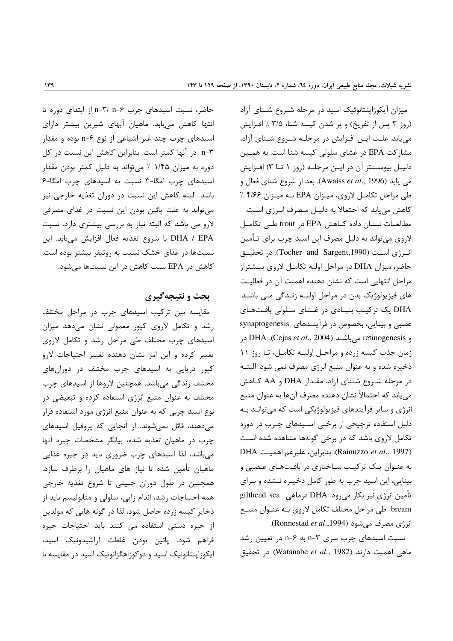حاضر، نسبت اسیدهای چرب n-۳/ n-۶ از ابتدای دوره تا انتها کاهش مییابد. ماهیان آبهای شیرین بیشتر دارای اسیدهای چرب چند غیر اشباعی از نوع ۶-n بوده و مقدار n-۳ در آنها کمتر است. بنابراین کاهش این نسبت در کل دوره به میزان ۱/۴۵ ٪ میتواند به دلیل کمتر بودن مقدار اسیدهای چرب امگا-٣ نسبت به اسیدهای چرب امگا-۶ باشد. البته كاهش اين نسبت در دوران تغذيه خارجي نيز می تواند به علت پائین بودن این نسبت در غذای مصرفی لارو می باشد که البته نیاز به بررسی بیشتری دارد. نسبت DHA / EPA با شروع تغذيه فعال افزايش مىيابد. اين نسبتها در غذای خشک نسبت به روتیفر بیشتر بوده است. كاهش در EPA سبب كاهش در اين نسبتها مى شود.

# بحث و نتیجهگیری

مقایسه بین ترکیب اسیدهای چرب در مراحل مختلف رشد و تکامل لاروی کیور معمولی نشان میدهد میزان اسیدهای چرب مختلف طی مراحل رشد و تکامل لاروی تغییر کرده و این امر نشان دهنده تغییر احتیاجات لارو کیور دریایی به اسیدهای چرب مختلف در دورانهای مختلف زندگی میباشد. همچنین لاروها از اسیدهای چرب مختلف به عنوان منبع انرژی استفاده کرده و تبعیضی در نوع اسید چربی که به عنوان منبع انرژی مورد استفاده قرار می دهند، قائل نمی شوند. از آنجایی که پروفیل اسیدهای چرب در ماهیان تغذیه شده، بیانگر مشخصات جیره آنها می باشد، لذا اسیدهای چرب ضروری باید در جیره غذایی ماهیان تأمین شده تا نیاز های ماهیان را برطرف سازد. همچنین در طول دوران جنینی تا شروع تغذیه خارجی همه احتیاجات رشد، اندام زایی، سلولی و متابولیسم باید از ذخایر کیسه زرده حاصل شود، لذا در گونه هایی که مولدین از جیره دستی استفاده می کنند باید احتیاجات جیره فراهم شود. يائين بودن غلظت آراشيدونيک اسيد، ایکوزاینتانوئیک اسید و دوکوزاهگزانوئیک اسید در مقایسه با

میزان آیکوزاپنتانوئیک اسید در مرحله شـروع شـنای آزاد (روز ۳ پس از تفریخ) و پر شدن کیسه شنا، ۳/۵ ٪ افزایش می یابد. علت ایـن افـزایش در مرحلـه شـروع شـنای آزاد، مشارکت EPA در غشای سلولی کیسه شنا است. به همـین دليـل بيوســنتز آن در ايــن مرحلــه (روز ١ تــا ٣) افــزايش مي يابد (Awaiss *et al.*, 1996). بعد از شروع شناي فعال و طی مراحل تکامل لاروی، میزان EPA به میزان ۴/۶۶٪ کاهش مییابد که احتمالا به دلیـل مـصرف انـرژی اسـت. مطالعـات نـشان داده كـاهش EPA در trout طـى تكامـل لاروی میتواند به دلیل مصرف این اسید چرب برای تـأمین انرژی است (Tocher and Sargent,1990). در تحقیق حاضر، میزان DHA در مراحل اولیه تکامـل لاروی بیـشتراز مراحل انتهایی است که نشان دهنده اهمیت آن در فعالیت های فیزیولوژیک بدن در مراحل اولیـه زنـدگی مـی باشـد. DHA یک ترکیب بنیادی در غشای سلولی بافتهای عصبی و بینایی، بخصوص در فرآیندهای synaptogenesis و retinogenesis می باشـد (Cejas et al., 2004). DHA زمان جذب كيسه زرده و مراحل اوليه تكامل، تا روز ١١ ذخیره شده و به عنوان منبع انرژی مصرف نمی شود. البتـه در مرحله شـروع شـناي آزاد، مقـدار DHA و AA كـاهش می یابد که احتمالاً نشان دهنده مصرف آنها به عنوان منبع انرژی و سایر فرآیندهای فیزیولوژیکی است که میتوانـد بـه دلیل استفاده ترجیحی از برخـی اسـیدهای چـرب در دوره تکامل لاروی باشد که در برخی گونهها مشاهده شده است DHA ابنابراين، عليرغم اهميت. DHA ). بنابراين، عليرغم اهميت. به عنـوان یـک ترکیـب سـاختاری در بافـتهـای عـصبی و بینایی، این اسید چرب به طور کامل ذخیـره نـشده و بـرای تأمین انرژی نیز بکار میرود. DHA درماهی gilthead sea bream طی مراحل مختلف تکامل لاروی بـه عنـوان منبـع انرژی مصرف میشود (Ronnestad et al.,1994).

نسبت اسیدهای چرب سری n-۳ به n-۶ در تعیین رشد ماهی اهمیت دارند (Watanabe et al., 1982) در تحقیق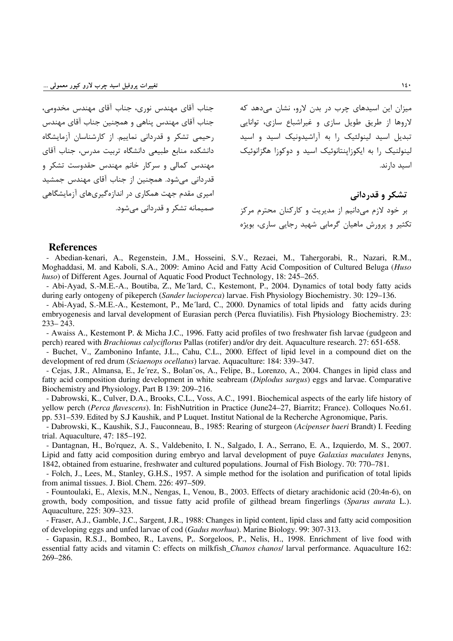جناب آقای مهندس نوری، جناب آقای مهندس مخدومی، جناب آقاي مهندس پناهي و همچنين جناب آقاي مهندس رحیمی تشکر و قدردانی نماییم. از کارشناسان آزمایشگاه دانشكده منابع طبيعى دانشگاه تربيت مدرس، جناب آقاى مهندس کمالی و سرکار خانم مهندس حقدوست تشکر و قدردانی می شود. همچنین از جناب آقای مهندس جمشید امیری مقدم جهت همکاری در اندازهگیریهای آزمایشگاهی صمیمانه تشکر و قدردانی می شود.

میزان این اسیدهای چرب در بدن لارو، نشان می دهد که لاروها از طریق طویل سازی و غیراشباع سازی، توانایی تبدیل اسید لینولئیک را به آراشیدونیک اسید و اسید لینولنیک را به ایکوزاینتانوئیک اسید و دوکوزا هگزانوئیک اسید دارند.

تشکر و قدردانی بر خود لازم می۱دانیم از مدیریت و کارکنان محترم مرکز ۔<br>تکثیر و یرورش ماهیان گرماہے شھید رجایے ساری، بویژہ

#### **References**

- Abedian-kenari, A., Regenstein, J.M., Hosseini, S.V., Rezaei, M., Tahergorabi, R., Nazari, R.M., Moghaddasi, M. and Kaboli, S.A., 2009: Amino Acid and Fatty Acid Composition of Cultured Beluga (Huso huso) of Different Ages. Journal of Aquatic Food Product Technology, 18: 245–265.

- Abi-Ayad, S.-M.E.-A., Boutiba, Z., Me'lard, C., Kestemont, P., 2004. Dynamics of total body fatty acids during early ontogeny of pikeperch (Sander lucioperca) larvae. Fish Physiology Biochemistry. 30: 129–136.

- Abi-Ayad, S.-M.E.-A., Kestemont, P., Me'lard, C., 2000. Dynamics of total lipids and fatty acids during embryogenesis and larval development of Eurasian perch (Perca fluviatilis). Fish Physiology Biochemistry. 23:  $233 - 243$ .

- Awaiss A., Kestemont P. & Micha J.C., 1996. Fatty acid profiles of two freshwater fish larvae (gudgeon and perch) reared with *Brachionus calveiflorus* Pallas (rotifer) and/or dry deit. Aquaculture research. 27: 651-658.

- Buchet, V., Zambonino Infante, J.L., Cahu, C.L., 2000. Effect of lipid level in a compound diet on the development of red drum (Sciaenops ocellatus) larvae. Aquaculture: 184: 339–347.

- Cejas, J.R., Almansa, E., Je'rez, S., Bolan~os, A., Felipe, B., Lorenzo, A., 2004. Changes in lipid class and fatty acid composition during development in white seabream (Diplodus sargus) eggs and larvae. Comparative Biochemistry and Physiology, Part B 139: 209-216.

- Dabrowski, K., Culver, D.A., Brooks, C.L., Voss, A.C., 1991. Biochemical aspects of the early life history of yellow perch (Perca flavescens). In: FishNutrition in Practice (June24-27, Biarritz; France). Colloques No.61. pp. 531–539. Edited by S.J Kaushik, and P Luquet. Institut National de la Recherche Agronomique, Paris.

- Dabrowski, K., Kaushik, S.J., Fauconneau, B., 1985: Rearing of sturgeon (Acipenser baeri Brandt) I. Feeding trial. Aquaculture, 47: 185-192.

- Dantagnan, H., Bo'rquez, A. S., Valdebenito, I. N., Salgado, I. A., Serrano, E. A., Izquierdo, M. S., 2007. Lipid and fatty acid composition during embryo and larval development of puve Galaxias maculates Jenyns. 1842, obtained from estuarine, freshwater and cultured populations. Journal of Fish Biology. 70: 770–781.

- Folch, J., Lees, M., Stanley, G.H.S., 1957. A simple method for the isolation and purification of total lipids from animal tissues. J. Biol. Chem. 226: 497-509.

- Fountoulaki, E., Alexis, M.N., Nengas, I., Venou, B., 2003. Effects of dietary arachidonic acid (20:4n-6), on growth, body composition, and tissue fatty acid profile of gilthead bream fingerlings (Sparus aurata L.). Aquaculture, 225: 309-323.

- Fraser, A.J., Gamble, J.C., Sargent, J.R., 1988: Changes in lipid content, lipid class and fatty acid composition of developing eggs and unfed larvae of cod (*Gadus morhua*). Marine Biology. 99: 307-313.

- Gapasin, R.S.J., Bombeo, R., Lavens, P., Sorgeloos, P., Nelis, H., 1998. Enrichment of live food with essential fatty acids and vitamin C: effects on milkfish *Chanos chanos*/ larval performance. Aquaculture 162: 269-286.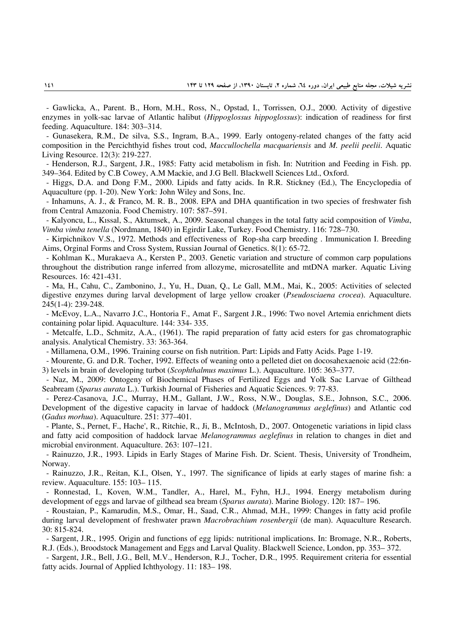- Gawlicka, A., Parent. B., Horn, M.H., Ross, N., Opstad, I., Torrissen, O.J., 2000. Activity of digestive enzymes in yolk-sac larvae of Atlantic halibut (*Hippoglossus hippoglossus*): indication of readiness for first feeding. Aquaculture. 184: 303–314.

- Gunasekera, R.M., De silva, S.S., Ingram, B.A., 1999. Early ontogeny-related changes of the fatty acid composition in the Percichthyid fishes trout cod, *Maccullochella macquariensis* and *M. peelii peelii*. Aquatic Living Resource. 12(3): 219-227.

- Henderson, R.J., Sargent, J.R., 1985: Fatty acid metabolism in fish. In: Nutrition and Feeding in Fish. pp. 349–364. Edited by C.B Cowey, A.M Mackie, and J.G Bell. Blackwell Sciences Ltd., Oxford.

- Higgs, D.A. and Dong F.M., 2000. Lipids and fatty acids. In R.R. Stickney (Ed.), The Encyclopedia of Aquaculture (pp. 1-20). New York: John Wiley and Sons, Inc.

- Inhamuns, A. J., & Franco, M. R. B., 2008. EPA and DHA quantification in two species of freshwater fish from Central Amazonia. Food Chemistry. 107: 587–591.

- Kalyoncu, L., Kıssal, S., Aktumsek, A., 2009. Seasonal changes in the total fatty acid composition of *Vimba*, *Vimba vimba tenella* (Nordmann, 1840) in Egirdir Lake, Turkey. Food Chemistry. 116: 728–730.

- Kirpichnikov V.S., 1972. Methods and effectiveness of Rop-sha carp breeding . Immunication I. Breeding Aims, Orginal Forms and Cross System, Russian Journal of Genetics. 8(1): 65-72.

- Kohlman K., Murakaeva A., Kersten P., 2003. Genetic variation and structure of common carp populations throughout the distribution range inferred from allozyme, microsatellite and mtDNA marker. Aquatic Living Resources. 16: 421-431.

- Ma, H., Cahu, C., Zambonino, J., Yu, H., Duan, Q., Le Gall, M.M., Mai, K., 2005: Activities of selected digestive enzymes during larval development of large yellow croaker (*Pseudosciaena crocea*). Aquaculture. 245(1-4): 239-248.

- McEvoy, L.A., Navarro J.C., Hontoria F., Amat F., Sargent J.R., 1996: Two novel Artemia enrichment diets containing polar lipid. Aquaculture. 144: 334- 335.

- Metcalfe, L.D., Schmitz, A.A., (1961). The rapid preparation of fatty acid esters for gas chromatographic analysis. Analytical Chemistry. 33: 363-364.

- Millamena, O.M., 1996. Training course on fish nutrition. Part: Lipids and Fatty Acids. Page 1-19.

- Mourente, G. and D.R. Tocher, 1992. Effects of weaning onto a pelleted diet on docosahexaenoic acid (22:6n-3) levels in brain of developing turbot (*Scophthalmus maximus* L.). Aquaculture. 105: 363–377.

- Naz, M., 2009: Ontogeny of Biochemical Phases of Fertilized Eggs and Yolk Sac Larvae of Gilthead Seabream (*Sparus aurata* L.). Turkish Journal of Fisheries and Aquatic Sciences. 9: 77-83.

- Perez-Casanova, J.C., Murray, H.M., Gallant, J.W., Ross, N.W., Douglas, S.E., Johnson, S.C., 2006. Development of the digestive capacity in larvae of haddock (*Melanogrammus aeglefinus*) and Atlantic cod (*Gadus morhua*). Aquaculture. 251: 377–401.

- Plante, S., Pernet, F., Hache', R., Ritchie, R., Ji, B., McIntosh, D., 2007. Ontogenetic variations in lipid class and fatty acid composition of haddock larvae *Melanogrammus aeglefinus* in relation to changes in diet and microbial environment. Aquaculture. 263: 107–121.

- Rainuzzo, J.R., 1993. Lipids in Early Stages of Marine Fish. Dr. Scient. Thesis, University of Trondheim, Norway.

- Rainuzzo, J.R., Reitan, K.I., Olsen, Y., 1997. The significance of lipids at early stages of marine fish: a review. Aquaculture. 155: 103– 115.

- Ronnestad, I., Koven, W.M., Tandler, A., Harel, M., Fyhn, H.J., 1994. Energy metabolism during development of eggs and larvae of gilthead sea bream (*Sparus aurata*). Marine Biology. 120: 187– 196.

- Roustaian, P., Kamarudin, M.S., Omar, H., Saad, C.R., Ahmad, M.H., 1999: Changes in fatty acid profile during larval development of freshwater prawn *Macrobrachium rosenbergii* (de man). Aquaculture Research. 30: 815-824.

- Sargent, J.R., 1995. Origin and functions of egg lipids: nutritional implications. In: Bromage, N.R., Roberts, R.J. (Eds.), Broodstock Management and Eggs and Larval Quality. Blackwell Science, London, pp. 353– 372.

- Sargent, J.R., Bell, J.G., Bell, M.V., Henderson, R.J., Tocher, D.R., 1995. Requirement criteria for essential fatty acids. Journal of Applied Ichthyology. 11: 183– 198.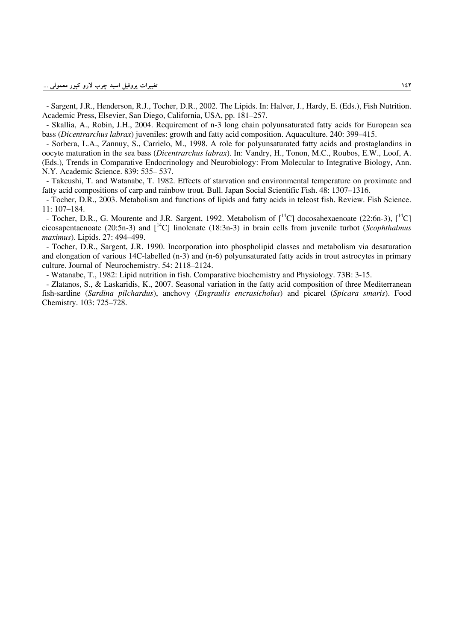- Sargent, J.R., Henderson, R.J., Tocher, D.R., 2002. The Lipids. In: Halver, J., Hardy, E. (Eds.), Fish Nutrition. Academic Press, Elsevier, San Diego, California, USA, pp. 181–257.

- Skallia, A., Robin, J.H., 2004. Requirement of n-3 long chain polyunsaturated fatty acids for European sea bass (*Dicentrarchus labrax*) juveniles: growth and fatty acid composition. Aquaculture. 240: 399–415.

- Sorbera, L.A., Zannuy, S., Carrielo, M., 1998. A role for polyunsaturated fatty acids and prostaglandins in oocyte maturation in the sea bass (*Dicentrarchus labrax*). In: Vandry, H., Tonon, M.C., Roubos, E.W., Loof, A. (Eds.), Trends in Comparative Endocrinology and Neurobiology: From Molecular to Integrative Biology, Ann. N.Y. Academic Science. 839: 535– 537.

- Takeushi, T. and Watanabe, T. 1982. Effects of starvation and environmental temperature on proximate and fatty acid compositions of carp and rainbow trout. Bull. Japan Social Scientific Fish. 48: 1307–1316.

- Tocher, D.R., 2003. Metabolism and functions of lipids and fatty acids in teleost fish. Review. Fish Science. 11: 107–184.

- Tocher, D.R., G. Mourente and J.R. Sargent, 1992. Metabolism of  $\int^{14}C$ ] docosahexaenoate (22:6n-3),  $\int^{14}C$ ] eicosapentaenoate (20:5n-3) and [14C] linolenate (18:3n-3) in brain cells from juvenile turbot (*Scophthalmus maximus*). Lipids. 27: 494–499.

- Tocher, D.R., Sargent, J.R. 1990. Incorporation into phospholipid classes and metabolism via desaturation and elongation of various 14C-labelled (n-3) and (n-6) polyunsaturated fatty acids in trout astrocytes in primary culture. Journal of Neurochemistry. 54: 2118–2124.

- Watanabe, T., 1982: Lipid nutrition in fish. Comparative biochemistry and Physiology. 73B: 3-15.

- Zlatanos, S., & Laskaridis, K., 2007. Seasonal variation in the fatty acid composition of three Mediterranean fish-sardine (*Sardina pilchardus*), anchovy (*Engraulis encrasicholus*) and picarel (*Spicara smaris*). Food Chemistry. 103: 725–728.